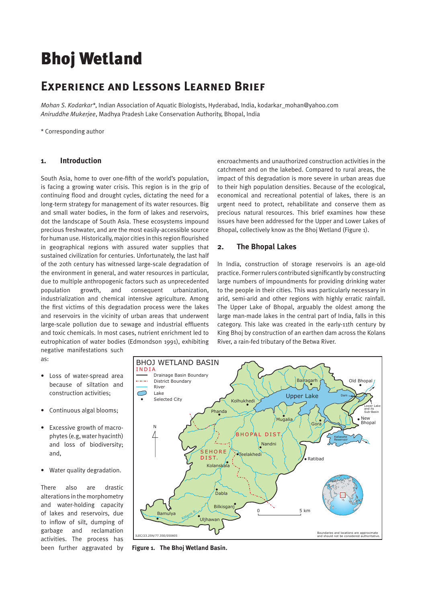# Bhoj Wetland

# **Experience and Lessons Learned Brief**

*Mohan S. Kodarkar\**, Indian Association of Aquatic Biologists, Hyderabad, India, kodarkar\_mohan@yahoo.com *Aniruddhe Mukerjee*, Madhya Pradesh Lake Conservation Authority, Bhopal, India

\* Corresponding author

#### **1. Introduction**

South Asia, home to over one-fifth of the world's population, is facing a growing water crisis. This region is in the grip of continuing flood and drought cycles, dictating the need for a long-term strategy for management of its water resources. Big and small water bodies, in the form of lakes and reservoirs, dot the landscape of South Asia. These ecosystems impound precious freshwater, and are the most easily-accessible source for human use. Historically, major cities in this region flourished in geographical regions with assured water supplies that sustained civilization for centuries. Unfortunately, the last half of the 20th century has witnessed large-scale degradation of the environment in general, and water resources in particular, due to multiple anthropogenic factors such as unprecedented population growth, and consequent urbanization, industrialization and chemical intensive agriculture. Among the first victims of this degradation process were the lakes and reservoirs in the vicinity of urban areas that underwent large-scale pollution due to sewage and industrial effluents and toxic chemicals. In most cases, nutrient enrichment led to eutrophication of water bodies (Edmondson 1991), exhibiting negative manifestations such

encroachments and unauthorized construction activities in the catchment and on the lakebed. Compared to rural areas, the impact of this degradation is more severe in urban areas due to their high population densities. Because of the ecological, economical and recreational potential of lakes, there is an urgent need to protect, rehabilitate and conserve them as precious natural resources. This brief examines how these issues have been addressed for the Upper and Lower Lakes of Bhopal, collectively know as the Bhoj Wetland (Figure 1).

#### **2. The Bhopal Lakes**

In India, construction of storage reservoirs is an age-old practice. Former rulers contributed significantly by constructing large numbers of impoundments for providing drinking water to the people in their cities. This was particularly necessary in arid, semi-arid and other regions with highly erratic rainfall. The Upper Lake of Bhopal, arguably the oldest among the large man-made lakes in the central part of India, falls in this category. This lake was created in the early-11th century by King Bhoj by construction of an earthen dam across the Kolans River, a rain-fed tributary of the Betwa River.

as:

- Loss of water-spread area because of siltation and construction activities;
- Continuous algal blooms:
- Excessive growth of macrophytes (e.g, water hyacinth) and loss of biodiversity; and,
- Water quality degradation.

There also are drastic alterations in the morphometry and water-holding capacity of lakes and reservoirs, due to inflow of silt, dumping of garbage and reclamation activities. The process has been further aggravated by



**Figure 1. The Bhoj Wetland Basin.**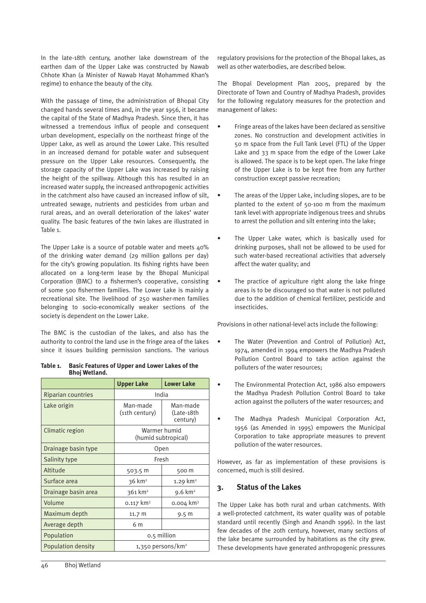In the late-18th century, another lake downstream of the earthen dam of the Upper Lake was constructed by Nawab Chhote Khan (a Minister of Nawab Hayat Mohammed Khan's regime) to enhance the beauty of the city.

With the passage of time, the administration of Bhopal City changed hands several times and, in the year 1956, it became the capital of the State of Madhya Pradesh. Since then, it has witnessed a tremendous influx of people and consequent urban development, especially on the northeast fringe of the Upper Lake, as well as around the Lower Lake. This resulted in an increased demand for potable water and subsequent pressure on the Upper Lake resources. Consequently, the storage capacity of the Upper Lake was increased by raising the height of the spillway. Although this has resulted in an increased water supply, the increased anthropogenic activities in the catchment also have caused an increased inflow of silt, untreated sewage, nutrients and pesticides from urban and rural areas, and an overall deterioration of the lakes' water quality. The basic features of the twin lakes are illustrated in Table 1.

The Upper Lake is a source of potable water and meets 40% of the drinking water demand (29 million gallons per day) for the city's growing population. Its fishing rights have been allocated on a long-term lease by the Bhopal Municipal Corporation (BMC) to a fishermen's cooperative, consisting of some 500 fishermen families. The Lower Lake is mainly a recreational site. The livelihood of 250 washer-men families belonging to socio-economically weaker sections of the society is dependent on the Lower Lake.

The BMC is the custodian of the lakes, and also has the authority to control the land use in the fringe area of the lakes since it issues building permission sanctions. The various

|                           | <b>Upper Lake</b>                   | <b>Lower Lake</b>                  |  |
|---------------------------|-------------------------------------|------------------------------------|--|
| <b>Riparian countries</b> | India                               |                                    |  |
| Lake origin               | Man-made<br>(11th century)          | Man-made<br>(Late-18th<br>century) |  |
| Climatic region           | Warmer humid<br>(humid subtropical) |                                    |  |
| Drainage basin type       | Open                                |                                    |  |
| Salinity type             | Fresh                               |                                    |  |
| Altitude                  | 503.5 m                             | 500 m                              |  |
| Surface area              | $36 \text{ km}^2$                   | 1.29 $km2$                         |  |
| Drainage basin area       | 361 km <sup>2</sup>                 | $9.6 \text{ km}^2$                 |  |
| Volume                    | $0.117$ km <sup>3</sup>             | 0.004 km <sup>3</sup>              |  |
| Maximum depth             | 11.7 m                              | 9.5 m                              |  |
| Average depth             | 6 m                                 |                                    |  |
| Population                | 0.5 million                         |                                    |  |
| <b>Population density</b> | 1,350 persons/km <sup>2</sup>       |                                    |  |

| Table 1. | <b>Basic Features of Upper and Lower Lakes of the</b> |
|----------|-------------------------------------------------------|
|          | <b>Bhoj Wetland.</b>                                  |

regulatory provisions for the protection of the Bhopal lakes, as well as other waterbodies, are described below.

The Bhopal Development Plan 2005, prepared by the Directorate of Town and Country of Madhya Pradesh, provides for the following regulatory measures for the protection and management of lakes:

- Fringe areas of the lakes have been declared as sensitive zones. No construction and development activities in 50 m space from the Full Tank Level (FTL) of the Upper Lake and 33 m space from the edge of the Lower Lake is allowed. The space is to be kept open. The lake fringe of the Upper Lake is to be kept free from any further construction except passive recreation;
- The areas of the Upper Lake, including slopes, are to be planted to the extent of 50-100 m from the maximum tank level with appropriate indigenous trees and shrubs to arrest the pollution and silt entering into the lake;
- The Upper Lake water, which is basically used for drinking purposes, shall not be allowed to be used for such water-based recreational activities that adversely affect the water quality; and
- The practice of agriculture right along the lake fringe areas is to be discouraged so that water is not polluted due to the addition of chemical fertilizer, pesticide and insecticides.

Provisions in other national-level acts include the following:

- The Water (Prevention and Control of Pollution) Act. 1974, amended in 1994 empowers the Madhya Pradesh Pollution Control Board to take action against the polluters of the water resources;
- The Environmental Protection Act, 1986 also empowers the Madhya Pradesh Pollution Control Board to take action against the polluters of the water resources; and
- The Madhya Pradesh Municipal Corporation Act, 1956 (as Amended in 1995) empowers the Municipal Corporation to take appropriate measures to prevent pollution of the water resources.

However, as far as implementation of these provisions is concerned, much is still desired.

# **3. Status of the Lakes**

The Upper Lake has both rural and urban catchments. With a well-protected catchment, its water quality was of potable standard until recently (Singh and Anandh 1996). In the last few decades of the 20th century, however, many sections of the lake became surrounded by habitations as the city grew. These developments have generated anthropogenic pressures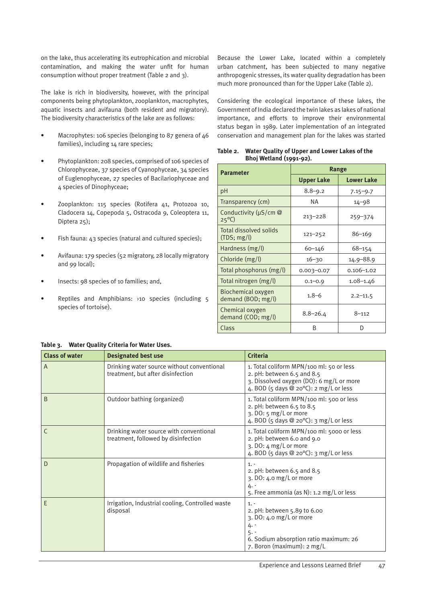on the lake, thus accelerating its eutrophication and microbial contamination, and making the water unfit for human consumption without proper treatment (Table 2 and 3).

The lake is rich in biodiversity, however, with the principal components being phytoplankton, zooplankton, macrophytes, aquatic insects and avifauna (both resident and migratory). The biodiversity characteristics of the lake are as follows:

- Macrophytes: 106 species (belonging to 87 genera of 46 families), including 14 rare species;
- Phytoplankton: 208 species, comprised of 106 species of Chlorophyceae, 37 species of Cyanophyceae, 34 species of Euglenophyceae, 27 species of Bacilariophyceae and 4 species of Dinophyceae;
- Zooplankton: 115 species (Rotifera 41, Protozoa 10, Cladocera 14, Copepoda 5, Ostracoda 9, Coleoptera 11, Diptera 25);
- Fish fauna: 43 species (natural and cultured species);
- Avifauna: 179 species (52 migratory, 28 locally migratory and 99 local);
- Insects: 98 species of 10 families; and,
- Reptiles and Amphibians: ›10 species (including 5 species of tortoise).

#### Because the Lower Lake, located within a completely urban catchment, has been subjected to many negative anthropogenic stresses, its water quality degradation has been much more pronounced than for the Upper Lake (Table 2).

Considering the ecological importance of these lakes, the Government of India declared the twin lakes as lakes of national importance, and efforts to improve their environmental status began in 1989. Later implementation of an integrated conservation and management plan for the lakes was started

| <b>Parameter</b>                               | Range             |                   |  |
|------------------------------------------------|-------------------|-------------------|--|
|                                                | <b>Upper Lake</b> | <b>Lower Lake</b> |  |
| pH                                             | $8.8 - 9.2$       | $7.15 - 9.7$      |  |
| Transparency (cm)                              | ΝA                | 14–98             |  |
| Conductivity ( $\mu$ S/cm @<br>$25^{\circ}$ C) | $213 - 228$       | $259 - 374$       |  |
| <b>Total dissolved solids</b><br>(TDS; mg/l)   | $121 - 252$       | $86 - 169$        |  |
| Hardness (mg/l)                                | $60 - 146$        | $68 - 154$        |  |
| Chloride (mg/l)                                | $16 - 30$         | 14.9–88.9         |  |
| Total phosphorus (mg/l)                        | $0.003 - 0.07$    | $0.106 - 1.02$    |  |
| Total nitrogen (mg/l)                          | $0.1 - 0.9$       | $1.08 - 1.46$     |  |
| Biochemical oxygen<br>demand (BOD; mg/l)       | $1.8 - 6$         | $2.2 - 11.5$      |  |
| Chemical oxygen<br>demand (COD; mg/l)          | $8.8 - 26.4$      | $8 - 112$         |  |
| Class                                          | B                 | D                 |  |

**Table 2. Water Quality of Upper and Lower Lakes of the Bhoj Wetland (1991-92).**

| <b>Class of water</b> | <b>Designated best use</b>                                                      | <b>Criteria</b>                                                                                                                                                        |
|-----------------------|---------------------------------------------------------------------------------|------------------------------------------------------------------------------------------------------------------------------------------------------------------------|
| $\overline{A}$        | Drinking water source without conventional<br>treatment, but after disinfection | 1. Total coliform MPN/100 ml: 50 or less<br>2. pH: between $6.5$ and $8.5$<br>3. Dissolved oxygen (DO): 6 mg/L or more<br>4. BOD (5 days $@$ 20 $°C$ ): 2 mg/L or less |
| B                     | Outdoor bathing (organized)                                                     | 1. Total coliform MPN/100 ml: 500 or less<br>2. pH: between 6.5 to 8.5<br>3. DO: 5 mg/L or more<br>4. BOD (5 days $\circledcirc$ 20°C): 3 mg/L or less                 |
| C                     | Drinking water source with conventional<br>treatment, followed by disinfection  | 1. Total coliform MPN/100 ml: 5000 or less<br>2. pH: between 6.0 and 9.0<br>3. DO: 4 mg/L or more<br>4. BOD (5 days $@$ 20 $°C$ ): 3 mg/L or less                      |
| D                     | Propagation of wildlife and fisheries                                           | $1. -$<br>2. pH: between $6.5$ and $8.5$<br>3. DO: 4.0 mg/L or more<br>4. -<br>5. Free ammonia (as N): 1.2 mg/L or less                                                |
| E                     | Irrigation, Industrial cooling, Controlled waste<br>disposal                    | $1. -$<br>2. pH: between 5.89 to 6.00<br>3. DO: 4.0 mg/L or more<br>4. -<br>$5. -$<br>6. Sodium absorption ratio maximum: 26<br>7. Boron (maximum): 2 mg/L             |

#### **Table 3. Water Quality Criteria for Water Uses.**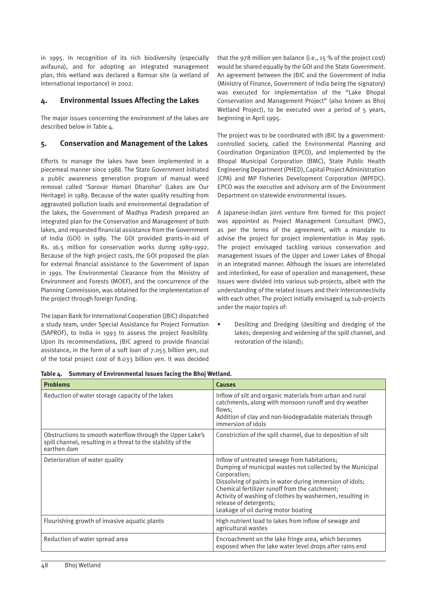in 1995. In recognition of its rich biodiversity (especially avifauna), and for adopting an integrated management plan, this wetland was declared a Ramsar site (a wetland of international importance) in 2002.

# **4. Environmental Issues Affecting the Lakes**

The major issues concerning the environment of the lakes are described below in Table 4.

# **5. Conservation and Management of the Lakes**

Efforts to manage the lakes have been implemented in a piecemeal manner since 1988. The State Government initiated a public awareness generation program of manual weed removal called 'Sarovar Hamari Dharohar' (Lakes are Our Heritage) in 1989. Because of the water quality resulting from aggravated pollution loads and environmental degradation of the lakes, the Government of Madhya Pradesh prepared an integrated plan for the Conservation and Management of both lakes, and requested financial assistance from the Government of India (GOI) in 1989. The GOI provided grants-in-aid of Rs. 16.5 million for conservation works during 1989-1992. Because of the high project costs, the GOI proposed the plan for external financial assistance to the Government of Japan in 1991. The Environmental Clearance from the Ministry of Environment and Forests (MOEF), and the concurrence of the Planning Commission, was obtained for the implementation of the project through foreign funding.

The Japan Bank for International Cooperation (JBIC) dispatched a study team, under Special Assistance for Project Formation (SAPROF), to India in 1993 to assess the project feasibility. Upon its recommendations, JBIC agreed to provide financial assistance, in the form of a soft loan of 7.055 billion yen, out of the total project cost of 8.033 billion yen. It was decided

that the 978 million yen balance (i.e., 15 % of the project cost) would be shared equally by the GOI and the State Government. An agreement between the JBIC and the Government of India (Ministry of Finance, Government of India being the signatory) was executed for implementation of the "Lake Bhopal Conservation and Management Project" (also known as Bhoj Wetland Project), to be executed over a period of 5 years, beginning in April 1995.

The project was to be coordinated with JBIC by a governmentcontrolled society, called the Environmental Planning and Coordination Organization (EPCO), and implemented by the Bhopal Municipal Corporation (BMC), State Public Health Engineering Department (PHED), Capital Project Administration (CPA) and MP Fisheries Development Corporation (MPFDC). EPCO was the executive and advisory arm of the Environment Department on statewide environmental issues.

A Japanese-Indian joint venture firm formed for this project was appointed as Project Management Consultant (PMC), as per the terms of the agreement, with a mandate to advise the project for project implementation in May 1996. The project envisaged tackling various conservation and management issues of the Upper and Lower Lakes of Bhopal in an integrated manner. Although the issues are interrelated and interlinked, for ease of operation and management, these issues were divided into various sub-projects, albeit with the understanding of the related issues and their interconnectivity with each other. The project initially envisaged 14 sub-projects under the major topics of:

• Desilting and Dredging (desilting and dredging of the lakes; deepening and widening of the spill channel, and restoration of the island);

| <b>Problems</b>                                                                                                                          | <b>Causes</b>                                                                                                                                                                                                                                                                                                                                                          |
|------------------------------------------------------------------------------------------------------------------------------------------|------------------------------------------------------------------------------------------------------------------------------------------------------------------------------------------------------------------------------------------------------------------------------------------------------------------------------------------------------------------------|
| Reduction of water storage capacity of the lakes                                                                                         | Inflow of silt and organic materials from urban and rural<br>catchments, along with monsoon runoff and dry weather<br>flows:<br>Addition of clay and non-biodegradable materials through<br>immersion of idols                                                                                                                                                         |
| Obstructions to smooth waterflow through the Upper Lake's<br>spill channel, resulting in a threat to the stability of the<br>earthen dam | Constriction of the spill channel, due to deposition of silt                                                                                                                                                                                                                                                                                                           |
| Deterioration of water quality                                                                                                           | Inflow of untreated sewage from habitations;<br>Dumping of municipal wastes not collected by the Municipal<br>Corporation;<br>Dissolving of paints in water during immersion of idols;<br>Chemical fertilizer runoff from the catchment:<br>Activity of washing of clothes by washermen, resulting in<br>release of detergents;<br>Leakage of oil during motor boating |
| Flourishing growth of invasive aquatic plants                                                                                            | High nutrient load to lakes from inflow of sewage and<br>agricultural wastes                                                                                                                                                                                                                                                                                           |
| Reduction of water spread area                                                                                                           | Encroachment on the lake fringe area, which becomes<br>exposed when the lake water level drops after rains end                                                                                                                                                                                                                                                         |

| Table 4. Summary of Environmental Issues facing the Bhoj Wetland. |  |  |  |  |  |  |
|-------------------------------------------------------------------|--|--|--|--|--|--|
|-------------------------------------------------------------------|--|--|--|--|--|--|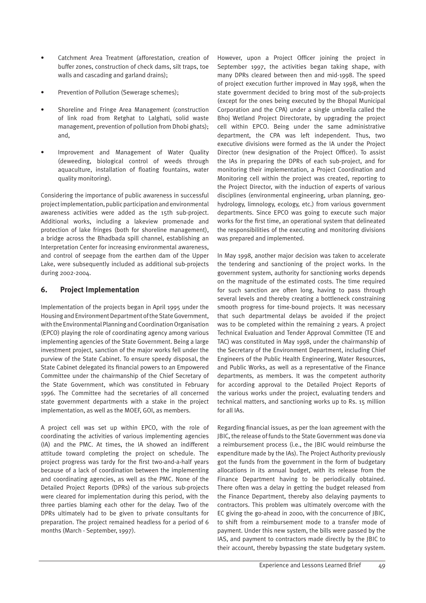- Catchment Area Treatment (afforestation, creation of buffer zones, construction of check dams, silt traps, toe walls and cascading and garland drains);
- Prevention of Pollution (Sewerage schemes);
- Shoreline and Fringe Area Management (construction of link road from Retghat to Lalghati, solid waste management, prevention of pollution from Dhobi ghats); and,
- Improvement and Management of Water Quality (deweeding, biological control of weeds through aquaculture, installation of floating fountains, water quality monitoring).

Considering the importance of public awareness in successful project implementation, public participation and environmental awareness activities were added as the 15th sub-project. Additional works, including a lakeview promenade and protection of lake fringes (both for shoreline management), a bridge across the Bhadbada spill channel, establishing an Interpretation Center for increasing environmental awareness, and control of seepage from the earthen dam of the Upper Lake, were subsequently included as additional sub-projects during 2002-2004.

# **6. Project Implementation**

Implementation of the projects began in April 1995 under the Housing and Environment Department of the State Government, with the Environmental Planning and Coordination Organisation (EPCO) playing the role of coordinating agency among various implementing agencies of the State Government. Being a large investment project, sanction of the major works fell under the purview of the State Cabinet. To ensure speedy disposal, the State Cabinet delegated its financial powers to an Empowered Committee under the chairmanship of the Chief Secretary of the State Government, which was constituted in February 1996. The Committee had the secretaries of all concerned state government departments with a stake in the project implementation, as well as the MOEF, GOI, as members.

A project cell was set up within EPCO, with the role of coordinating the activities of various implementing agencies (IA) and the PMC. At times, the IA showed an indifferent attitude toward completing the project on schedule. The project progress was tardy for the first two-and-a-half years because of a lack of coordination between the implementing and coordinating agencies, as well as the PMC. None of the Detailed Project Reports (DPRs) of the various sub-projects were cleared for implementation during this period, with the three parties blaming each other for the delay. Two of the DPRs ultimately had to be given to private consultants for preparation. The project remained headless for a period of 6 months (March - September, 1997).

However, upon a Project Officer joining the project in September 1997, the activities began taking shape, with many DPRs cleared between then and mid-1998. The speed of project execution further improved in May 1998, when the state government decided to bring most of the sub-projects (except for the ones being executed by the Bhopal Municipal Corporation and the CPA) under a single umbrella called the Bhoj Wetland Project Directorate, by upgrading the project cell within EPCO. Being under the same administrative department, the CPA was left independent. Thus, two executive divisions were formed as the IA under the Project Director (new designation of the Project Officer). To assist the IAs in preparing the DPRs of each sub-project, and for monitoring their implementation, a Project Coordination and Monitoring cell within the project was created, reporting to the Project Director, with the induction of experts of various disciplines (environmental engineering, urban planning, geohydrology, limnology, ecology, etc.) from various government departments. Since EPCO was going to execute such major works for the first time, an operational system that delineated the responsibilities of the executing and monitoring divisions was prepared and implemented.

In May 1998, another major decision was taken to accelerate the tendering and sanctioning of the project works. In the government system, authority for sanctioning works depends on the magnitude of the estimated costs. The time required for such sanction are often long, having to pass through several levels and thereby creating a bottleneck constraining smooth progress for time-bound projects. It was necessary that such departmental delays be avoided if the project was to be completed within the remaining 2 years. A project Technical Evaluation and Tender Approval Committee (TE and TAC) was constituted in May 1998, under the chairmanship of the Secretary of the Environment Department, including Chief Engineers of the Public Health Engineering, Water Resources, and Public Works, as well as a representative of the Finance departments, as members. It was the competent authority for according approval to the Detailed Project Reports of the various works under the project, evaluating tenders and technical matters, and sanctioning works up to Rs. 15 million for all IAs.

Regarding financial issues, as per the loan agreement with the JBIC, the release of funds to the State Government was done via a reimbursement process (i.e., the JBIC would reimburse the expenditure made by the IAs). The Project Authority previously got the funds from the government in the form of budgetary allocations in its annual budget, with its release from the Finance Department having to be periodically obtained. There often was a delay in getting the budget released from the Finance Department, thereby also delaying payments to contractors. This problem was ultimately overcome with the EC giving the go-ahead in 2000, with the concurrence of JBIC, to shift from a reimbursement mode to a transfer mode of payment. Under this new system, the bills were passed by the IAS, and payment to contractors made directly by the JBIC to their account, thereby bypassing the state budgetary system.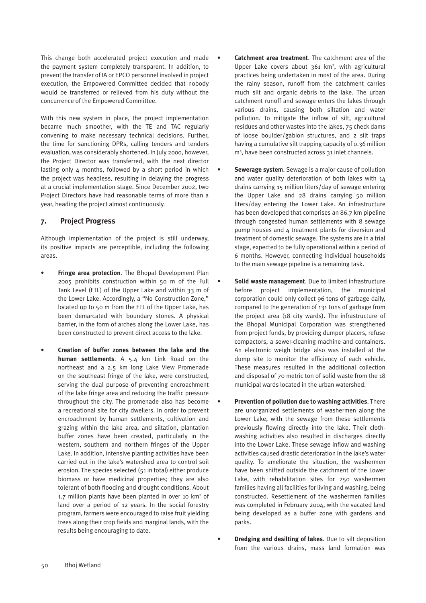This change both accelerated project execution and made the payment system completely transparent. In addition, to prevent the transfer of IA or EPCO personnel involved in project execution, the Empowered Committee decided that nobody would be transferred or relieved from his duty without the concurrence of the Empowered Committee.

With this new system in place, the project implementation became much smoother, with the TE and TAC regularly convening to make necessary technical decisions. Further, the time for sanctioning DPRs, calling tenders and tenders evaluation, was considerably shortened. In July 2000, however, the Project Director was transferred, with the next director lasting only 4 months, followed by a short period in which the project was headless, resulting in delaying the progress at a crucial implementation stage. Since December 2002, two Project Directors have had reasonable terms of more than a year, heading the project almost continuously.

# **7. Project Progress**

Although implementation of the project is still underway, its positive impacts are perceptible, including the following areas.

- **Fringe area protection.** The Bhopal Development Plan 2005 prohibits construction within 50 m of the Full Tank Level (FTL) of the Upper Lake and within 33 m of the Lower Lake. Accordingly, a "No Construction Zone," located up to 50 m from the FTL of the Upper Lake, has been demarcated with boundary stones. A physical barrier, in the form of arches along the Lower Lake, has been constructed to prevent direct access to the lake.
- **Creation of buffer zones between the lake and the human settlements**. A 5.4 km Link Road on the northeast and a 2.5 km long Lake View Promenade on the southeast fringe of the lake, were constructed, serving the dual purpose of preventing encroachment of the lake fringe area and reducing the traffic pressure throughout the city. The promenade also has become a recreational site for city dwellers. In order to prevent encroachment by human settlements, cultivation and grazing within the lake area, and siltation, plantation buffer zones have been created, particularly in the western, southern and northern fringes of the Upper Lake. In addition, intensive planting activities have been carried out in the lake's watershed area to control soil erosion. The species selected (51 in total) either produce biomass or have medicinal properties; they are also tolerant of both flooding and drought conditions. About 1.7 million plants have been planted in over 10 km<sup>2</sup> of land over a period of 12 years. In the social forestry program, farmers were encouraged to raise fruit yielding trees along their crop fields and marginal lands, with the results being encouraging to date.
- **Catchment area treatment**. The catchment area of the Upper Lake covers about  $361$  km<sup>2</sup>, with agricultural practices being undertaken in most of the area. During the rainy season, runoff from the catchment carries much silt and organic debris to the lake. The urban catchment runoff and sewage enters the lakes through various drains, causing both siltation and water pollution. To mitigate the inflow of silt, agricultural residues and other wastes into the lakes, 75 check dams of loose boulder/gabion structures, and 2 silt traps having a cumulative silt trapping capacity of 0.36 million m3 , have been constructed across 31 inlet channels.
- **Sewerage system**. Sewage is a major cause of pollution and water quality deterioration of both lakes with 14 drains carrying 15 million liters/day of sewage entering the Upper Lake and 28 drains carrying 50 million liters/day entering the Lower Lake. An infrastructure has been developed that comprises an 86.7 km pipeline through congested human settlements with 8 sewage pump houses and 4 treatment plants for diversion and treatment of domestic sewage. The systems are in a trial stage, expected to be fully operational within a period of 6 months. However, connecting individual households to the main sewage pipeline is a remaining task.
- **Solid waste management**. Due to limited infrastructure before project implementation, the municipal corporation could only collect 96 tons of garbage daily, compared to the generation of 131 tons of garbage from the project area (18 city wards). The infrastructure of the Bhopal Municipal Corporation was strengthened from project funds, by providing dumper placers, refuse compactors, a sewer-cleaning machine and containers. An electronic weigh bridge also was installed at the dump site to monitor the efficiency of each vehicle. These measures resulted in the additional collection and disposal of 70 metric ton of solid waste from the 18 municipal wards located in the urban watershed.
- **Prevention of pollution due to washing activities**. There are unorganized settlements of washermen along the Lower Lake, with the sewage from these settlements previously flowing directly into the lake. Their clothwashing activities also resulted in discharges directly into the Lower Lake. These sewage inflow and washing activities caused drastic deterioration in the lake's water quality. To ameliorate the situation, the washermen have been shifted outside the catchment of the Lower Lake, with rehabilitation sites for 250 washermen families having all facilities for living and washing, being constructed. Resettlement of the washermen families was completed in February 2004, with the vacated land being developed as a buffer zone with gardens and parks.
- **Dredging and desilting of lakes**. Due to silt deposition from the various drains, mass land formation was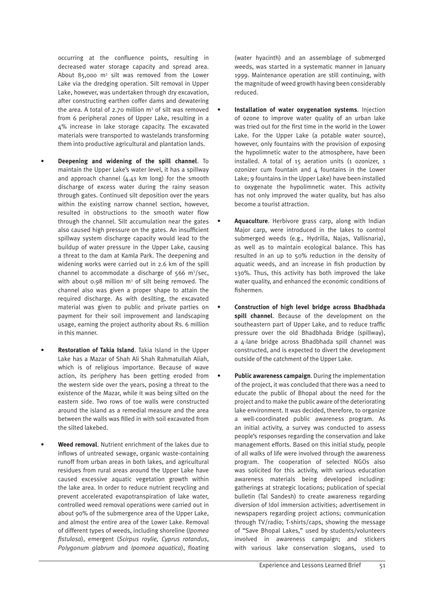occurring at the confluence points, resulting in decreased water storage capacity and spread area. About 85,000  $m^3$  silt was removed from the Lower Lake via the dredging operation. Silt removal in Upper Lake, however, was undertaken through dry excavation, after constructing earthen coffer dams and dewatering the area. A total of 2.70 million  $m<sup>3</sup>$  of silt was removed from 6 peripheral zones of Upper Lake, resulting in a 4% increase in lake storage capacity. The excavated materials were transported to wastelands transforming them into productive agricultural and plantation lands.

- **Deepening and widening of the spill channel**. To maintain the Upper Lake's water level, it has a spillway and approach channel  $(4.41 \text{ km} \text{ long})$  for the smooth discharge of excess water during the rainy season through gates. Continued silt deposition over the years within the existing narrow channel section, however, resulted in obstructions to the smooth water flow through the channel. Silt accumulation near the gates also caused high pressure on the gates. An insufficient spillway system discharge capacity would lead to the buildup of water pressure in the Upper Lake, causing a threat to the dam at Kamla Park. The deepening and widening works were carried out in 2.6 km of the spill channel to accommodate a discharge of  $566 \text{ m}^3/\text{sec}$ , with about 0.98 million  $m<sup>3</sup>$  of silt being removed. The channel also was given a proper shape to attain the required discharge. As with desilting, the excavated material was given to public and private parties on payment for their soil improvement and landscaping usage, earning the project authority about Rs. 6 million in this manner.
- **Restoration of Takia Island**. Takia Island in the Upper Lake has a Mazar of Shah Ali Shah Rahmatullah Aliah, which is of religious importance. Because of wave action, its periphery has been getting eroded from the western side over the years, posing a threat to the existence of the Mazar, while it was being silted on the eastern side. Two rows of toe walls were constructed around the island as a remedial measure and the area between the walls was filled in with soil excavated from the silted lakebed.
- **Weed removal**. Nutrient enrichment of the lakes due to inflows of untreated sewage, organic waste-containing runoff from urban areas in both lakes, and agricultural residues from rural areas around the Upper Lake have caused excessive aquatic vegetation growth within the lake area. In order to reduce nutrient recycling and prevent accelerated evapotranspiration of lake water, controlled weed removal operations were carried out in about 90% of the submergence area of the Upper Lake, and almost the entire area of the Lower Lake. Removal of different types of weeds, including shoreline (*Ipomea fistulosa*), emergent (*Scirpus roylie, Cyprus rotandus*, *Polygonum glabrum* and *Ipomoea aquatica*), floating

(water hyacinth) and an assemblage of submerged weeds, was started in a systematic manner in January 1999. Maintenance operation are still continuing, with the magnitude of weed growth having been considerably reduced.

- **Installation of water oxygenation systems**. Injection of ozone to improve water quality of an urban lake was tried out for the first time in the world in the Lower Lake. For the Upper Lake (a potable water source), however, only fountains with the provision of exposing the hypolimnetic water to the atmosphere, have been installed. A total of 15 aeration units (1 ozonizer, 1 ozonizer cum fountain and  $4$  fountains in the Lower Lake; 9 fountains in the Upper Lake) have been installed to oxygenate the hypolimnetic water. This activity has not only improved the water quality, but has also become a tourist attraction.
- **Aquaculture**. Herbivore grass carp, along with Indian Major carp, were introduced in the lakes to control submerged weeds (e.g., Hydrilla, Najas, Vallisnaria), as well as to maintain ecological balance. This has resulted in an up to 50% reduction in the density of aquatic weeds, and an increase in fish production by 130%. Thus, this activity has both improved the lake water quality, and enhanced the economic conditions of fishermen.
- **Construction of high level bridge across Bhadbhada spill channel**. Because of the development on the southeastern part of Upper Lake, and to reduce traffic pressure over the old Bhadbhada Bridge (spillway), a 4-lane bridge across Bhadbhada spill channel was constructed, and is expected to divert the development outside of the catchment of the Upper Lake.
- **Public awareness campaign**. During the implementation of the project, it was concluded that there was a need to educate the public of Bhopal about the need for the project and to make the public aware of the deteriorating lake environment. It was decided, therefore, to organize a well-coordinated public awareness program. As an initial activity, a survey was conducted to assess people's responses regarding the conservation and lake management efforts. Based on this initial study, people of all walks of life were involved through the awareness program. The cooperation of selected NGOs also was solicited for this activity, with various education awareness materials being developed including: gatherings at strategic locations; publication of special bulletin (Tal Sandesh) to create awareness regarding diversion of Idol immersion activities; advertisement in newspapers regarding project actions; communication through TV/radio; T-shirts/caps, showing the message of "Save Bhopal Lakes," used by students/volunteers involved in awareness campaign; and stickers with various lake conservation slogans, used to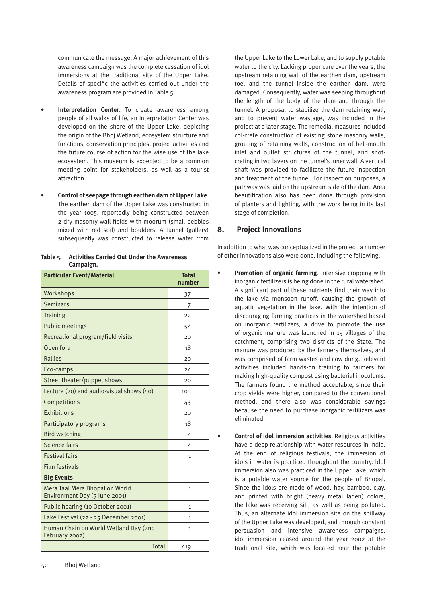communicate the message. A major achievement of this awareness campaign was the complete cessation of idol immersions at the traditional site of the Upper Lake. Details of specific the activities carried out under the awareness program are provided in Table 5.

- **Interpretation Center.** To create awareness among people of all walks of life, an Interpretation Center was developed on the shore of the Upper Lake, depicting the origin of the Bhoj Wetland, ecosystem structure and functions, conservation principles, project activities and the future course of action for the wise use of the lake ecosystem. This museum is expected to be a common meeting point for stakeholders, as well as a tourist attraction.
- **Control of seepage through earthen dam of Upper Lake**. The earthen dam of the Upper Lake was constructed in the year 1005, reportedly being constructed between 2 dry masonry wall fields with moorum (small pebbles mixed with red soil) and boulders. A tunnel (gallery) subsequently was constructed to release water from

| <b>Particular Event/Material</b>                                | <b>Total</b><br>number |
|-----------------------------------------------------------------|------------------------|
| Workshops                                                       | 37                     |
| <b>Seminars</b>                                                 | 7                      |
| <b>Training</b>                                                 | 22                     |
| <b>Public meetings</b>                                          | 54                     |
| Recreational program/field visits                               | 20                     |
| Open fora                                                       | 18                     |
| <b>Rallies</b>                                                  | 20                     |
| Eco-camps                                                       | 24                     |
| Street theater/puppet shows                                     | 20                     |
| Lecture (20) and audio-visual shows (50)                        | 103                    |
| Competitions                                                    | 43                     |
| Exhibitions                                                     | 20                     |
| Participatory programs                                          | 18                     |
| <b>Bird watching</b>                                            | 4                      |
| <b>Science fairs</b>                                            | 4                      |
| <b>Festival fairs</b>                                           | $\mathbf{1}$           |
| <b>Film festivals</b>                                           |                        |
| <b>Big Events</b>                                               |                        |
| Mera Taal Mera Bhopal on World<br>Environment Day (5 June 2001) | $\mathbf{1}$           |
| Public hearing (10 October 2001)                                | $\mathbf{1}$           |
| Lake Festival (22 - 25 December 2001)                           | $\mathbf{1}$           |
| Human Chain on World Wetland Day (2nd<br>February 2002)         | $\mathbf{1}$           |
| Total                                                           | 419                    |

**Table 5. Activities Carried Out Under the Awareness Campaign.**

the Upper Lake to the Lower Lake, and to supply potable water to the city. Lacking proper care over the years, the upstream retaining wall of the earthen dam, upstream toe, and the tunnel inside the earthen dam, were damaged. Consequently, water was seeping throughout the length of the body of the dam and through the tunnel. A proposal to stabilize the dam retaining wall, and to prevent water wastage, was included in the project at a later stage. The remedial measures included col-crete construction of existing stone masonry walls, grouting of retaining walls, construction of bell-mouth inlet and outlet structures of the tunnel, and shotcreting in two layers on the tunnel's inner wall. A vertical shaft was provided to facilitate the future inspection and treatment of the tunnel. For inspection purposes, a pathway was laid on the upstream side of the dam. Area beautification also has been done through provision of planters and lighting, with the work being in its last stage of completion.

# **8. Project Innovations**

In addition to what was conceptualized in the project, a number of other innovations also were done, including the following.

- **Promotion of organic farming.** Intensive cropping with inorganic fertilizers is being done in the rural watershed. A significant part of these nutrients find their way into the lake via monsoon runoff, causing the growth of aquatic vegetation in the lake. With the intention of discouraging farming practices in the watershed based on inorganic fertilizers, a drive to promote the use of organic manure was launched in 15 villages of the catchment, comprising two districts of the State. The manure was produced by the farmers themselves, and was comprised of farm wastes and cow dung. Relevant activities included hands-on training to farmers for making high-quality compost using bacterial inoculums. The farmers found the method acceptable, since their crop yields were higher, compared to the conventional method, and there also was considerable savings because the need to purchase inorganic fertilizers was eliminated.
- **Control of idol immersion activities**. Religious activities have a deep relationship with water resources in India. At the end of religious festivals, the immersion of idols in water is practiced throughout the country. Idol immersion also was practiced in the Upper Lake, which is a potable water source for the people of Bhopal. Since the idols are made of wood, hay, bamboo, clay, and printed with bright (heavy metal laden) colors, the lake was receiving silt, as well as being polluted. Thus, an alternate idol immersion site on the spillway of the Upper Lake was developed, and through constant persuasion and intensive awareness campaigns, idol immersion ceased around the year 2002 at the traditional site, which was located near the potable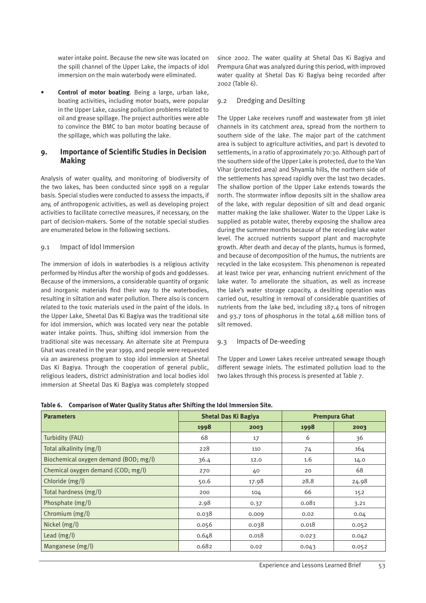water intake point. Because the new site was located on the spill channel of the Upper Lake, the impacts of idol immersion on the main waterbody were eliminated.

• **Control of motor boating**. Being a large, urban lake, boating activities, including motor boats, were popular in the Upper Lake, causing pollution problems related to oil and grease spillage. The project authorities were able to convince the BMC to ban motor boating because of the spillage, which was polluting the lake.

# **9. Importance of Scientific Studies in Decision Making**

Analysis of water quality, and monitoring of biodiversity of the two lakes, has been conducted since 1998 on a regular basis. Special studies were conducted to assess the impacts, if any, of anthropogenic activities, as well as developing project activities to facilitate corrective measures, if necessary, on the part of decision-makers. Some of the notable special studies are enumerated below in the following sections.

#### 9.1 Impact of Idol Immersion

The immersion of idols in waterbodies is a religious activity performed by Hindus after the worship of gods and goddesses. Because of the immersions, a considerable quantity of organic and inorganic materials find their way to the waterbodies, resulting in siltation and water pollution. There also is concern related to the toxic materials used in the paint of the idols. In the Upper Lake, Sheetal Das Ki Bagiya was the traditional site for idol immersion, which was located very near the potable water intake points. Thus, shifting idol immersion from the traditional site was necessary. An alternate site at Prempura Ghat was created in the year 1999, and people were requested via an awareness program to stop idol immersion at Sheetal Das Ki Bagiya. Through the cooperation of general public, religious leaders, district administration and local bodies idol immersion at Sheetal Das Ki Bagiya was completely stopped

since 2002. The water quality at Shetal Das Ki Bagiya and Prempura Ghat was analyzed during this period, with improved water quality at Shetal Das Ki Bagiya being recorded after 2002 (Table 6).

#### 9.2 Dredging and Desilting

The Upper Lake receives runoff and wastewater from 38 inlet channels in its catchment area, spread from the northern to southern side of the lake. The major part of the catchment area is subject to agriculture activities, and part is devoted to settlements, in a ratio of approximately 70:30. Although part of the southern side of the Upper Lake is protected, due to the Van Vihar (protected area) and Shyamla hills, the northern side of the settlements has spread rapidly over the last two decades. The shallow portion of the Upper Lake extends towards the north. The stormwater inflow deposits silt in the shallow area of the lake, with regular deposition of silt and dead organic matter making the lake shallower. Water to the Upper Lake is supplied as potable water, thereby exposing the shallow area during the summer months because of the receding lake water level. The accrued nutrients support plant and macrophyte growth. After death and decay of the plants, humus is formed, and because of decomposition of the humus, the nutrients are recycled in the lake ecosystem. This phenomenon is repeated at least twice per year, enhancing nutrient enrichment of the lake water. To ameliorate the situation, as well as increase the lake's water storage capacity, a desilting operation was carried out, resulting in removal of considerable quantities of nutrients from the lake bed, including 187.4 tons of nitrogen and 93.7 tons of phosphorus in the total 4.68 million tons of silt removed.

#### 9.3 Impacts of De-weeding

The Upper and Lower Lakes receive untreated sewage though different sewage inlets. The estimated pollution load to the two lakes through this process is presented at Table 7.

|  | Table 6. Comparison of Water Quality Status after Shifting the Idol Immersion Site. |
|--|-------------------------------------------------------------------------------------|
|  |                                                                                     |

| <b>Parameters</b>                     |       | <b>Shetal Das Ki Bagiya</b> | <b>Prempura Ghat</b> |       |  |
|---------------------------------------|-------|-----------------------------|----------------------|-------|--|
|                                       | 1998  | 2003                        | 1998                 | 2003  |  |
| Turbidity (FAU)                       | 68    | 17                          | 6                    | 36    |  |
| Total alkalinity (mg/l)               | 228   | 110                         | 74                   | 164   |  |
| Biochemical oxygen demand (BOD; mg/l) | 36.4  | 12.0                        | 1.6                  | 14.0  |  |
| Chemical oxygen demand (COD; mg/l)    | 270   | 40                          | 20                   | 68    |  |
| Chloride (mg/l)                       | 50.6  | 17.98                       | 28.8                 | 24.98 |  |
| Total hardness (mg/l)                 | 200   | 104                         | 66                   | 152   |  |
| Phosphate (mg/l)                      | 2.98  | 0.37                        | 0.081                | 3.21  |  |
| Chromium $(mg/l)$                     | 0.038 | 0.009                       | 0.02                 | 0.04  |  |
| Nickel (mg/l)                         | 0.056 | 0.038                       | 0.018                | 0.052 |  |
| Lead $(mg/l)$                         | 0.648 | 0.018                       | 0.023                | 0.042 |  |
| Manganese (mg/l)                      | 0.682 | 0.02                        | 0.043                | 0.052 |  |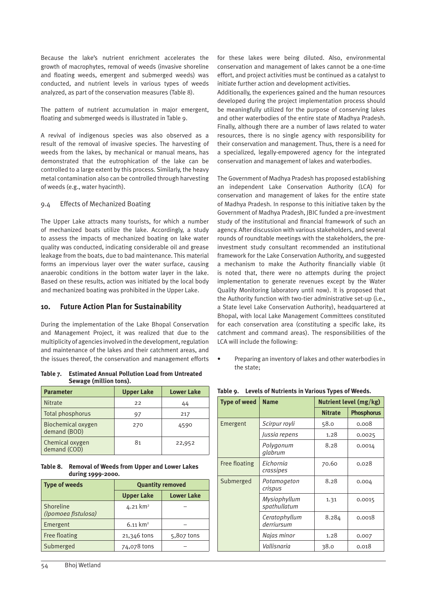Because the lake's nutrient enrichment accelerates the growth of macrophytes, removal of weeds (invasive shoreline and floating weeds, emergent and submerged weeds) was conducted, and nutrient levels in various types of weeds analyzed, as part of the conservation measures (Table 8).

The pattern of nutrient accumulation in major emergent, floating and submerged weeds is illustrated in Table 9.

A revival of indigenous species was also observed as a result of the removal of invasive species. The harvesting of weeds from the lakes, by mechanical or manual means, has demonstrated that the eutrophication of the lake can be controlled to a large extent by this process. Similarly, the heavy metal contamination also can be controlled through harvesting of weeds (e.g., water hyacinth).

#### 9.4 Effects of Mechanized Boating

The Upper Lake attracts many tourists, for which a number of mechanized boats utilize the lake. Accordingly, a study to assess the impacts of mechanized boating on lake water quality was conducted, indicating considerable oil and grease leakage from the boats, due to bad maintenance. This material forms an impervious layer over the water surface, causing anaerobic conditions in the bottom water layer in the lake. Based on these results, action was initiated by the local body and mechanized boating was prohibited in the Upper Lake.

# **10. Future Action Plan for Sustainability**

During the implementation of the Lake Bhopal Conservation and Management Project, it was realized that due to the multiplicity of agencies involved in the development, regulation and maintenance of the lakes and their catchment areas, and the issues thereof, the conservation and management efforts

**Table 7. Estimated Annual Pollution Load from Untreated Sewage (million tons).**

| <b>Parameter</b>                   | <b>Upper Lake</b> | <b>Lower Lake</b> |
|------------------------------------|-------------------|-------------------|
| <b>Nitrate</b>                     | 22                | 44                |
| Total phosphorus                   | 97                | 217               |
| Biochemical oxygen<br>demand (BOD) | 270               | 4590              |
| Chemical oxygen<br>demand (COD)    | 81                | 22,952            |

**Table 8. Removal of Weeds from Upper and Lower Lakes during 1999-2000.**

| <b>Type of weeds</b>             | <b>Quantity removed</b> |                   |  |
|----------------------------------|-------------------------|-------------------|--|
|                                  | <b>Upper Lake</b>       | <b>Lower Lake</b> |  |
| Shoreline<br>(Ipomoea fistulosa) | 4.21 km <sup>2</sup>    |                   |  |
| Emergent                         | $6.11 \text{ km}^2$     |                   |  |
| Free floating                    | 21,346 tons             | 5,807 tons        |  |
| Submerged                        | 74,078 tons             |                   |  |

for these lakes were being diluted. Also, environmental conservation and management of lakes cannot be a one-time effort, and project activities must be continued as a catalyst to initiate further action and development activities.

Additionally, the experiences gained and the human resources developed during the project implementation process should be meaningfully utilized for the purpose of conserving lakes and other waterbodies of the entire state of Madhya Pradesh. Finally, although there are a number of laws related to water resources, there is no single agency with responsibility for their conservation and management. Thus, there is a need for a specialized, legally-empowered agency for the integrated conservation and management of lakes and waterbodies.

The Government of Madhya Pradesh has proposed establishing an independent Lake Conservation Authority (LCA) for conservation and management of lakes for the entire state of Madhya Pradesh. In response to this initiative taken by the Government of Madhya Pradesh, JBIC funded a pre-investment study of the institutional and financial framework of such an agency. After discussion with various stakeholders, and several rounds of roundtable meetings with the stakeholders, the preinvestment study consultant recommended an institutional framework for the Lake Conservation Authority, and suggested a mechanism to make the Authority financially viable (it is noted that, there were no attempts during the project implementation to generate revenues except by the Water Quality Monitoring laboratory until now). It is proposed that the Authority function with two-tier administrative set-up (i.e., a State level Lake Conservation Authority), headquartered at Bhopal, with local Lake Management Committees constituted for each conservation area (constituting a specific lake, its catchment and command areas). The responsibilities of the LCA will include the following:

• Preparing an inventory of lakes and other waterbodies in the state;

| <b>Name</b>                         | Nutrient level (mg/kg) |                   |
|-------------------------------------|------------------------|-------------------|
|                                     | <b>Nitrate</b>         | <b>Phosphorus</b> |
| Scirpur royli                       | 58.0                   | 0.008             |
| Jussia repens                       | 1.28                   | 0.0025            |
| Polygonum<br>glabrum                | 8.28                   | 0.0014            |
| Eichornia<br>crassipes              | 70.60                  | 0.028             |
| Submerged<br>Potamogeton<br>crispus |                        | 0.004             |
| Mysiophyllum<br>spathullatum        | 1.31                   | 0.0015            |
| Ceratophyllum<br>derriursum         | 8.284                  | 0.0018            |
| Najas minor                         | 1.28                   | 0.007             |
| Vallisnaria                         | 38.0                   | 0.018             |
|                                     |                        | 8.28              |

**Table 9. Levels of Nutrients in Various Types of Weeds.**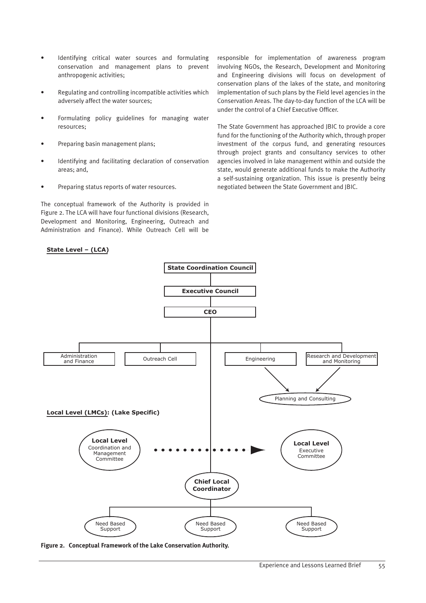- Identifying critical water sources and formulating conservation and management plans to prevent anthropogenic activities;
- Regulating and controlling incompatible activities which adversely affect the water sources;
- Formulating policy guidelines for managing water resources;
- Preparing basin management plans;
- Identifying and facilitating declaration of conservation areas; and,
- Preparing status reports of water resources.

The conceptual framework of the Authority is provided in Figure 2. The LCA will have four functional divisions (Research, Development and Monitoring, Engineering, Outreach and Administration and Finance). While Outreach Cell will be

#### State Level - (LCA)

responsible for implementation of awareness program involving NGOs, the Research, Development and Monitoring and Engineering divisions will focus on development of conservation plans of the lakes of the state, and monitoring implementation of such plans by the Field level agencies in the Conservation Areas. The day-to-day function of the LCA will be under the control of a Chief Executive Officer.

The State Government has approached JBIC to provide a core fund for the functioning of the Authority which, through proper investment of the corpus fund, and generating resources through project grants and consultancy services to other agencies involved in lake management within and outside the state, would generate additional funds to make the Authority a self-sustaining organization. This issue is presently being negotiated between the State Government and JBIC.



**Figure 2. Conceptual Framework of the Lake Conservation Authority.**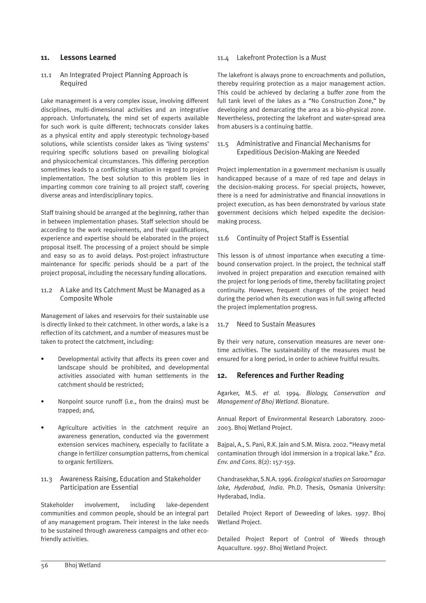#### **11. Lessons Learned**

#### 11.1 An Integrated Project Planning Approach is Required

Lake management is a very complex issue, involving different disciplines, multi-dimensional activities and an integrative approach. Unfortunately, the mind set of experts available for such work is quite different; technocrats consider lakes as a physical entity and apply stereotypic technology-based solutions, while scientists consider lakes as 'living systems' requiring specific solutions based on prevailing biological and physicochemical circumstances. This differing perception sometimes leads to a conflicting situation in regard to project implementation. The best solution to this problem lies in imparting common core training to all project staff, covering diverse areas and interdisciplinary topics.

Staff training should be arranged at the beginning, rather than in between implementation phases. Staff selection should be according to the work requirements, and their qualifications, experience and expertise should be elaborated in the project proposal itself. The processing of a project should be simple and easy so as to avoid delays. Post-project infrastructure maintenance for specific periods should be a part of the project proposal, including the necessary funding allocations.

#### 11.2 A Lake and Its Catchment Must be Managed as a Composite Whole

Management of lakes and reservoirs for their sustainable use is directly linked to their catchment. In other words, a lake is a reflection of its catchment, and a number of measures must be taken to protect the catchment, including:

- Developmental activity that affects its green cover and landscape should be prohibited, and developmental activities associated with human settlements in the catchment should be restricted;
- Nonpoint source runoff (i.e., from the drains) must be trapped; and,
- Agriculture activities in the catchment require an awareness generation, conducted via the government extension services machinery, especially to facilitate a change in fertilizer consumption patterns, from chemical to organic fertilizers.

#### 11.3 Awareness Raising, Education and Stakeholder Participation are Essential

Stakeholder involvement, including lake-dependent communities and common people, should be an integral part of any management program. Their interest in the lake needs to be sustained through awareness campaigns and other ecofriendly activities.

#### 11.4 Lakefront Protection is a Must

The lakefront is always prone to encroachments and pollution, thereby requiring protection as a major management action. This could be achieved by declaring a buffer zone from the full tank level of the lakes as a "No Construction Zone," by developing and demarcating the area as a bio-physical zone. Nevertheless, protecting the lakefront and water-spread area from abusers is a continuing battle.

#### 11.5 Administrative and Financial Mechanisms for Expeditious Decision-Making are Needed

Project implementation in a government mechanism is usually handicapped because of a maze of red tape and delays in the decision-making process. For special projects, however, there is a need for administrative and financial innovations in project execution, as has been demonstrated by various state government decisions which helped expedite the decisionmaking process.

#### 11.6 Continuity of Project Staff is Essential

This lesson is of utmost importance when executing a timebound conservation project. In the project, the technical staff involved in project preparation and execution remained with the project for long periods of time, thereby facilitating project continuity. However, frequent changes of the project head during the period when its execution was in full swing affected the project implementation progress.

#### 11.7 Need to Sustain Measures

By their very nature, conservation measures are never onetime activities. The sustainability of the measures must be ensured for a long period, in order to achieve fruitful results.

#### **12. References and Further Reading**

Agarker, M.S. *et al*. 1994. *Biology, Conservation and Management of Bhoj Wetland*. Bionature.

Annual Report of Environmental Research Laboratory. 2000- 2003. Bhoj Wetland Project.

Bajpai, A., S. Pani, R.K. Jain and S.M. Misra. 2002. "Heavy metal contamination through idol immersion in a tropical lake." *Eco. Env. and Cons*. 8(2): 157-159.

Chandrasekhar, S.N.A. 1996. *Ecological studies on Saroornagar lake, Hyderabad, India*. Ph.D. Thesis, Osmania University: Hyderabad, India.

Detailed Project Report of Deweeding of lakes. 1997. Bhoj Wetland Project.

Detailed Project Report of Control of Weeds through Aquaculture. 1997. Bhoj Wetland Project.